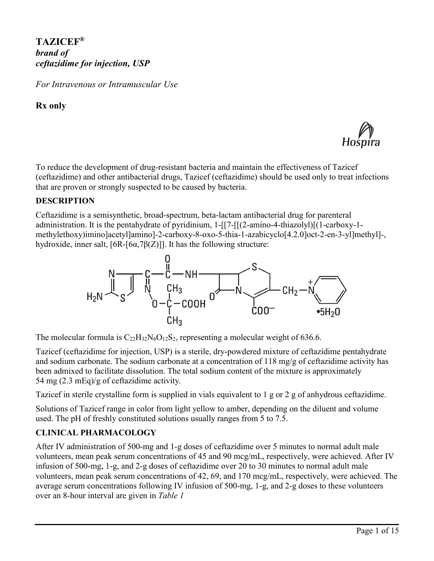**TAZICEF®** *brand of ceftazidime for injection, USP*

*For Intravenous or Intramuscular Use* 

### **Rx only**



### **DESCRIPTION**

Ceftazidime is a semisynthetic, broad-spectrum, beta-lactam antibacterial drug for parenteral administration. It is the pentahydrate of pyridinium, 1-[[7-[[(2-amino-4-thiazolyl)[(1-carboxy-1 methylethoxy)imino]acetyl]amino]-2-carboxy-8-oxo-5-thia-1-azabicyclo[4.2.0]oct-2-en-3-yl]methyl]-, hydroxide, inner salt, [6R-[6α,7β(Z)]]. It has the following structure:



The molecular formula is  $C_{22}H_{32}N_6O_{12}S_2$ , representing a molecular weight of 636.6.

Tazicef (ceftazidime for injection, USP) is a sterile, dry-powdered mixture of ceftazidime pentahydrate and sodium carbonate. The sodium carbonate at a concentration of 118 mg/g of ceftazidime activity has been admixed to facilitate dissolution. The total sodium content of the mixture is approximately 54 mg (2.3 mEq)/g of ceftazidime activity.

Tazicef in sterile crystalline form is supplied in vials equivalent to 1 g or 2 g of anhydrous ceftazidime.

Solutions of Tazicef range in color from light yellow to amber, depending on the diluent and volume used. The pH of freshly constituted solutions usually ranges from 5 to 7.5.

# **CLINICAL PHARMACOLOGY**

After IV administration of 500-mg and 1-g doses of ceftazidime over 5 minutes to normal adult male volunteers, mean peak serum concentrations of 45 and 90 mcg/mL, respectively, were achieved. After IV infusion of 500-mg, 1-g, and 2-g doses of ceftazidime over 20 to 30 minutes to normal adult male volunteers, mean peak serum concentrations of 42, 69, and 170 mcg/mL, respectively, were achieved. The average serum concentrations following IV infusion of 500-mg, 1-g, and 2-g doses to these volunteers over an 8-hour interval are given in *Table 1*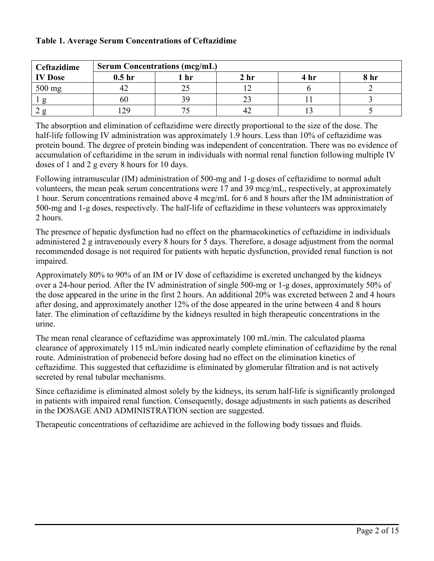#### **Table 1. Average Serum Concentrations of Ceftazidime**

| Ceftazidime    | <b>Serum Concentrations (mcg/mL)</b> |     |                 |      |      |
|----------------|--------------------------------------|-----|-----------------|------|------|
| <b>IV</b> Dose | 0.5 <sub>hr</sub>                    | hr. | 2 <sub>hr</sub> | 4 hr | 8 hr |
| 500 mg         | 42                                   |     |                 |      |      |
|                | 60                                   |     |                 |      |      |
|                | 29                                   |     |                 |      |      |

The absorption and elimination of ceftazidime were directly proportional to the size of the dose. The half-life following IV administration was approximately 1.9 hours. Less than 10% of ceftazidime was protein bound. The degree of protein binding was independent of concentration. There was no evidence of accumulation of ceftazidime in the serum in individuals with normal renal function following multiple IV doses of 1 and 2 g every 8 hours for 10 days.

Following intramuscular (IM) administration of 500-mg and 1-g doses of ceftazidime to normal adult volunteers, the mean peak serum concentrations were 17 and 39 mcg/mL, respectively, at approximately 1 hour. Serum concentrations remained above 4 mcg/mL for 6 and 8 hours after the IM administration of 500-mg and 1-g doses, respectively. The half-life of ceftazidime in these volunteers was approximately 2 hours.

The presence of hepatic dysfunction had no effect on the pharmacokinetics of ceftazidime in individuals administered 2 g intravenously every 8 hours for 5 days. Therefore, a dosage adjustment from the normal recommended dosage is not required for patients with hepatic dysfunction, provided renal function is not impaired.

Approximately 80% to 90% of an IM or IV dose of ceftazidime is excreted unchanged by the kidneys over a 24-hour period. After the IV administration of single 500-mg or 1-g doses, approximately 50% of the dose appeared in the urine in the first 2 hours. An additional 20% was excreted between 2 and 4 hours after dosing, and approximately another 12% of the dose appeared in the urine between 4 and 8 hours later. The elimination of ceftazidime by the kidneys resulted in high therapeutic concentrations in the urine.

The mean renal clearance of ceftazidime was approximately 100 mL/min. The calculated plasma clearance of approximately 115 mL/min indicated nearly complete elimination of ceftazidime by the renal route. Administration of probenecid before dosing had no effect on the elimination kinetics of ceftazidime. This suggested that ceftazidime is eliminated by glomerular filtration and is not actively secreted by renal tubular mechanisms.

Since ceftazidime is eliminated almost solely by the kidneys, its serum half-life is significantly prolonged in patients with impaired renal function. Consequently, dosage adjustments in such patients as described in the DOSAGE AND ADMINISTRATION section are suggested.

Therapeutic concentrations of ceftazidime are achieved in the following body tissues and fluids.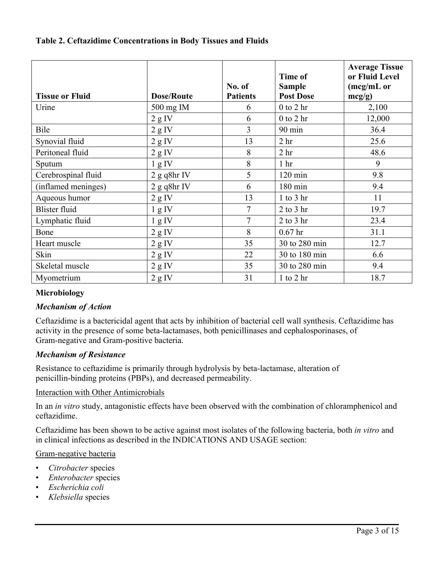| Table 2. Ceftazidime Concentrations in Body Tissues and Fluids |  |  |
|----------------------------------------------------------------|--|--|
|                                                                |  |  |

| <b>Tissue or Fluid</b> | <b>Dose/Route</b> | No. of<br><b>Patients</b> | Time of<br><b>Sample</b><br><b>Post Dose</b> | <b>Average Tissue</b><br>or Fluid Level<br>(mcg/mL or<br>$mcg/g$ ) |
|------------------------|-------------------|---------------------------|----------------------------------------------|--------------------------------------------------------------------|
| Urine                  | 500 mg IM         | 6                         | $0$ to $2$ hr                                | 2,100                                                              |
|                        | 2 g IV            | 6                         | $0$ to $2$ hr                                | 12,000                                                             |
| Bile                   | 2 g IV            | 3                         | $90 \text{ min}$                             | 36.4                                                               |
| Synovial fluid         | 2 g IV            | 13                        | 2 <sup>hr</sup>                              | 25.6                                                               |
| Peritoneal fluid       | 2 g IV            | 8                         | 2 <sup>hr</sup>                              | 48.6                                                               |
| Sputum                 | 1 g IV            | 8                         | 1 <sub>hr</sub>                              | 9                                                                  |
| Cerebrospinal fluid    | $2$ g q8hr IV     | 5                         | $120 \text{ min}$                            | 9.8                                                                |
| (inflamed meninges)    | $2$ g q8hr IV     | 6                         | 180 min                                      | 9.4                                                                |
| Aqueous humor          | 2 g IV            | 13                        | $1$ to $3$ hr                                | 11                                                                 |
| <b>Blister fluid</b>   | 1 g IV            | 7                         | $2$ to $3$ hr                                | 19.7                                                               |
| Lymphatic fluid        | 1 g IV            | 7                         | $2$ to $3$ hr                                | 23.4                                                               |
| Bone                   | 2 g IV            | 8                         | 0.67 <sub>hr</sub>                           | 31.1                                                               |
| Heart muscle           | 2 g IV            | 35                        | 30 to 280 min                                | 12.7                                                               |
| Skin                   | 2 g IV            | 22                        | 30 to 180 min                                | 6.6                                                                |
| Skeletal muscle        | 2 g IV            | 35                        | 30 to 280 min                                | 9.4                                                                |
| Myometrium             | 2 g IV            | 31                        | $1$ to $2$ hr                                | 18.7                                                               |

# **Microbiology**

### *Mechanism of Action*

Ceftazidime is a bactericidal agent that acts by inhibition of bacterial cell wall synthesis. Ceftazidime has activity in the presence of some beta-lactamases, both penicillinases and cephalosporinases, of Gram-negative and Gram-positive bacteria.

### *Mechanism of Resistance*

Resistance to ceftazidime is primarily through hydrolysis by beta-lactamase, alteration of penicillin-binding proteins (PBPs), and decreased permeability.

### Interaction with Other Antimicrobials

In an *in vitro* study, antagonistic effects have been observed with the combination of chloramphenicol and ceftazidime.

Ceftazidime has been shown to be active against most isolates of the following bacteria, both *in vitro* and in clinical infections as described in the INDICATIONS AND USAGE section:

### Gram-negative bacteria

- *Citrobacter* species
- *Enterobacter* species
- *Escherichia coli*
- *Klebsiella* species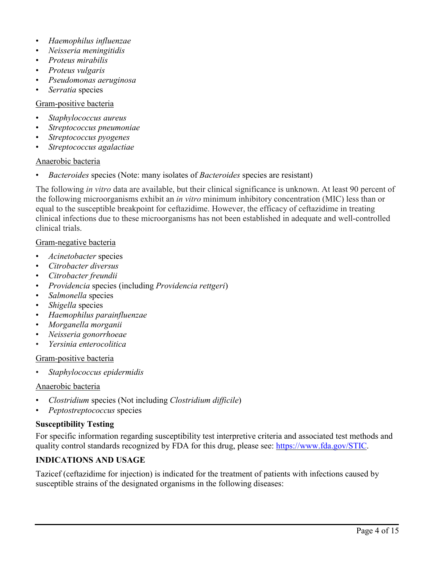- *Haemophilus influenzae*
- *Neisseria meningitidis*
- *Proteus mirabilis*
- *Proteus vulgaris*
- *Pseudomonas aeruginosa*
- *Serratia* species

#### Gram-positive bacteria

- *Staphylococcus aureus*
- *Streptococcus pneumoniae*
- *Streptococcus pyogenes*
- *Streptococcus agalactiae*

#### Anaerobic bacteria

• *Bacteroides* species (Note: many isolates of *Bacteroides* species are resistant)

The following *in vitro* data are available, but their clinical significance is unknown. At least 90 percent of the following microorganisms exhibit an *in vitro* minimum inhibitory concentration (MIC) less than or equal to the susceptible breakpoint for ceftazidime. However, the efficacy of ceftazidime in treating clinical infections due to these microorganisms has not been established in adequate and well-controlled clinical trials.

#### Gram-negative bacteria

- *Acinetobacter* species
- *Citrobacter diversus*
- *Citrobacter freundii*
- *Providencia* species (including *Providencia rettgeri*)
- *Salmonella* species
- *Shigella* species
- *Haemophilus parainfluenzae*
- *Morganella morganii*
- *Neisseria gonorrhoeae*
- *Yersinia enterocolitica*

#### Gram-positive bacteria

• *Staphylococcus epidermidis*

#### Anaerobic bacteria

- *Clostridium* species (Not including *Clostridium difficile*)
- *Peptostreptococcus* species

### **Susceptibility Testing**

For specific information regarding susceptibility test interpretive criteria and associated test methods and quality control standards recognized by FDA for this drug, please see: [https://www.fda.gov/STIC.](https://www.fda.gov/STIC)

### **INDICATIONS AND USAGE**

Tazicef (ceftazidime for injection) is indicated for the treatment of patients with infections caused by susceptible strains of the designated organisms in the following diseases: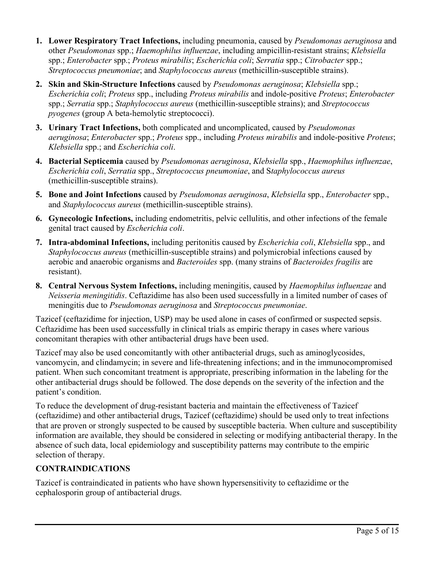- **1. Lower Respiratory Tract Infections,** including pneumonia, caused by *Pseudomonas aeruginosa* and other *Pseudomonas* spp.; *Haemophilus influenzae*, including ampicillin-resistant strains; *Klebsiella*  spp.; *Enterobacter* spp.; *Proteus mirabilis*; *Escherichia coli*; *Serratia* spp.; *Citrobacter* spp.; *Streptococcus pneumoniae*; and *Staphylococcus aureus* (methicillin-susceptible strains).
- **2. Skin and Skin-Structure Infections** caused by *Pseudomonas aeruginosa*; *Klebsiella* spp.; *Escherichia coli*; *Proteus* spp., including *Proteus mirabilis* and indole-positive *Proteus*; *Enterobacter*  spp.; *Serratia* spp.; *Staphylococcus aureus* (methicillin-susceptible strains); and *Streptococcus pyogenes* (group A beta-hemolytic streptococci).
- **3. Urinary Tract Infections,** both complicated and uncomplicated, caused by *Pseudomonas aeruginosa*; *Enterobacter* spp.; *Proteus* spp., including *Proteus mirabilis* and indole-positive *Proteus*; *Klebsiella* spp.; and *Escherichia coli*.
- **4. Bacterial Septicemia** caused by *Pseudomonas aeruginosa*, *Klebsiella* spp., *Haemophilus influenzae*, *Escherichia coli*, *Serratia* spp., *Streptococcus pneumoniae*, and S*taphylococcus aureus*  (methicillin-susceptible strains).
- **5. Bone and Joint Infections** caused by *Pseudomonas aeruginosa*, *Klebsiella* spp., *Enterobacter* spp., and *Staphylococcus aureus* (methicillin-susceptible strains).
- **6. Gynecologic Infections,** including endometritis, pelvic cellulitis, and other infections of the female genital tract caused by *Escherichia coli*.
- **7. Intra-abdominal Infections,** including peritonitis caused by *Escherichia coli*, *Klebsiella* spp., and *Staphylococcus aureus* (methicillin-susceptible strains) and polymicrobial infections caused by aerobic and anaerobic organisms and *Bacteroides* spp. (many strains of *Bacteroides fragilis* are resistant).
- **8. Central Nervous System Infections,** including meningitis, caused by *Haemophilus influenzae* and *Neisseria meningitidis*. Ceftazidime has also been used successfully in a limited number of cases of meningitis due to *Pseudomonas aeruginosa* and *Streptococcus pneumoniae*.

Tazicef (ceftazidime for injection, USP) may be used alone in cases of confirmed or suspected sepsis. Ceftazidime has been used successfully in clinical trials as empiric therapy in cases where various concomitant therapies with other antibacterial drugs have been used.

Tazicef may also be used concomitantly with other antibacterial drugs, such as aminoglycosides, vancomycin, and clindamycin; in severe and life-threatening infections; and in the immunocompromised patient. When such concomitant treatment is appropriate, prescribing information in the labeling for the other antibacterial drugs should be followed. The dose depends on the severity of the infection and the patient's condition.

To reduce the development of drug-resistant bacteria and maintain the effectiveness of Tazicef (ceftazidime) and other antibacterial drugs, Tazicef (ceftazidime) should be used only to treat infections that are proven or strongly suspected to be caused by susceptible bacteria. When culture and susceptibility information are available, they should be considered in selecting or modifying antibacterial therapy. In the absence of such data, local epidemiology and susceptibility patterns may contribute to the empiric selection of therapy.

# **CONTRAINDICATIONS**

Tazicef is contraindicated in patients who have shown hypersensitivity to ceftazidime or the cephalosporin group of antibacterial drugs.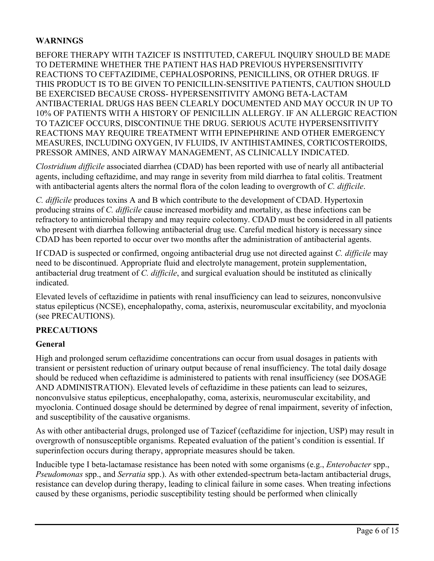# **WARNINGS**

BEFORE THERAPY WITH TAZICEF IS INSTITUTED, CAREFUL INQUIRY SHOULD BE MADE TO DETERMINE WHETHER THE PATIENT HAS HAD PREVIOUS HYPERSENSITIVITY REACTIONS TO CEFTAZIDIME, CEPHALOSPORINS, PENICILLINS, OR OTHER DRUGS. IF THIS PRODUCT IS TO BE GIVEN TO PENICILLIN-SENSITIVE PATIENTS, CAUTION SHOULD BE EXERCISED BECAUSE CROSS- HYPERSENSITIVITY AMONG BETA-LACTAM ANTIBACTERIAL DRUGS HAS BEEN CLEARLY DOCUMENTED AND MAY OCCUR IN UP TO 10% OF PATIENTS WITH A HISTORY OF PENICILLIN ALLERGY. IF AN ALLERGIC REACTION TO TAZICEF OCCURS, DISCONTINUE THE DRUG. SERIOUS ACUTE HYPERSENSITIVITY REACTIONS MAY REQUIRE TREATMENT WITH EPINEPHRINE AND OTHER EMERGENCY MEASURES, INCLUDING OXYGEN, IV FLUIDS, IV ANTIHISTAMINES, CORTICOSTEROIDS, PRESSOR AMINES, AND AIRWAY MANAGEMENT, AS CLINICALLY INDICATED.

*Clostridium difficile* associated diarrhea (CDAD) has been reported with use of nearly all antibacterial agents, including ceftazidime, and may range in severity from mild diarrhea to fatal colitis. Treatment with antibacterial agents alters the normal flora of the colon leading to overgrowth of *C. difficile*.

*C. difficile* produces toxins A and B which contribute to the development of CDAD. Hypertoxin producing strains of *C. difficile* cause increased morbidity and mortality, as these infections can be refractory to antimicrobial therapy and may require colectomy. CDAD must be considered in all patients who present with diarrhea following antibacterial drug use. Careful medical history is necessary since CDAD has been reported to occur over two months after the administration of antibacterial agents.

If CDAD is suspected or confirmed, ongoing antibacterial drug use not directed against *C. difficile* may need to be discontinued. Appropriate fluid and electrolyte management, protein supplementation, antibacterial drug treatment of *C. difficile*, and surgical evaluation should be instituted as clinically indicated.

Elevated levels of ceftazidime in patients with renal insufficiency can lead to seizures, nonconvulsive status epilepticus (NCSE), encephalopathy, coma, asterixis, neuromuscular excitability, and myoclonia (see PRECAUTIONS).

# **PRECAUTIONS**

### **General**

High and prolonged serum ceftazidime concentrations can occur from usual dosages in patients with transient or persistent reduction of urinary output because of renal insufficiency. The total daily dosage should be reduced when ceftazidime is administered to patients with renal insufficiency (see DOSAGE AND ADMINISTRATION). Elevated levels of ceftazidime in these patients can lead to seizures, nonconvulsive status epilepticus, encephalopathy, coma, asterixis, neuromuscular excitability, and myoclonia. Continued dosage should be determined by degree of renal impairment, severity of infection, and susceptibility of the causative organisms.

As with other antibacterial drugs, prolonged use of Tazicef (ceftazidime for injection, USP) may result in overgrowth of nonsusceptible organisms. Repeated evaluation of the patient's condition is essential. If superinfection occurs during therapy, appropriate measures should be taken.

Inducible type I beta-lactamase resistance has been noted with some organisms (e.g., *Enterobacter* spp., *Pseudomonas* spp., and *Serratia* spp.). As with other extended-spectrum beta-lactam antibacterial drugs, resistance can develop during therapy, leading to clinical failure in some cases. When treating infections caused by these organisms, periodic susceptibility testing should be performed when clinically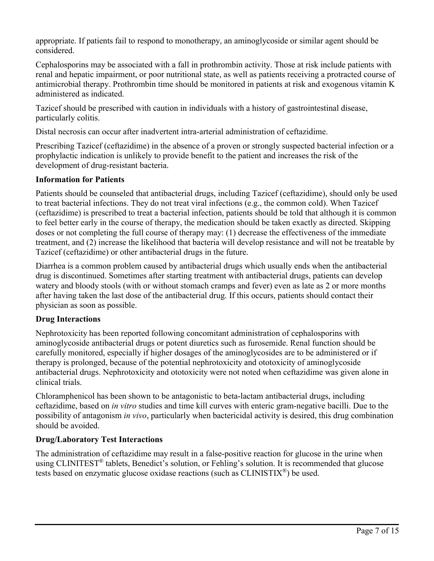appropriate. If patients fail to respond to monotherapy, an aminoglycoside or similar agent should be considered.

Cephalosporins may be associated with a fall in prothrombin activity. Those at risk include patients with renal and hepatic impairment, or poor nutritional state, as well as patients receiving a protracted course of antimicrobial therapy. Prothrombin time should be monitored in patients at risk and exogenous vitamin K administered as indicated.

Tazicef should be prescribed with caution in individuals with a history of gastrointestinal disease, particularly colitis.

Distal necrosis can occur after inadvertent intra-arterial administration of ceftazidime.

Prescribing Tazicef (ceftazidime) in the absence of a proven or strongly suspected bacterial infection or a prophylactic indication is unlikely to provide benefit to the patient and increases the risk of the development of drug-resistant bacteria.

### **Information for Patients**

Patients should be counseled that antibacterial drugs, including Tazicef (ceftazidime), should only be used to treat bacterial infections. They do not treat viral infections (e.g., the common cold). When Tazicef (ceftazidime) is prescribed to treat a bacterial infection, patients should be told that although it is common to feel better early in the course of therapy, the medication should be taken exactly as directed. Skipping doses or not completing the full course of therapy may: (1) decrease the effectiveness of the immediate treatment, and (2) increase the likelihood that bacteria will develop resistance and will not be treatable by Tazicef (ceftazidime) or other antibacterial drugs in the future.

Diarrhea is a common problem caused by antibacterial drugs which usually ends when the antibacterial drug is discontinued. Sometimes after starting treatment with antibacterial drugs, patients can develop watery and bloody stools (with or without stomach cramps and fever) even as late as 2 or more months after having taken the last dose of the antibacterial drug. If this occurs, patients should contact their physician as soon as possible.

# **Drug Interactions**

Nephrotoxicity has been reported following concomitant administration of cephalosporins with aminoglycoside antibacterial drugs or potent diuretics such as furosemide. Renal function should be carefully monitored, especially if higher dosages of the aminoglycosides are to be administered or if therapy is prolonged, because of the potential nephrotoxicity and ototoxicity of aminoglycoside antibacterial drugs. Nephrotoxicity and ototoxicity were not noted when ceftazidime was given alone in clinical trials.

Chloramphenicol has been shown to be antagonistic to beta-lactam antibacterial drugs, including ceftazidime, based on *in vitro* studies and time kill curves with enteric gram-negative bacilli. Due to the possibility of antagonism *in vivo*, particularly when bactericidal activity is desired, this drug combination should be avoided.

# **Drug/Laboratory Test Interactions**

The administration of ceftazidime may result in a false-positive reaction for glucose in the urine when using CLINITEST<sup>®</sup> tablets, Benedict's solution, or Fehling's solution. It is recommended that glucose tests based on enzymatic glucose oxidase reactions (such as CLINISTIX®) be used.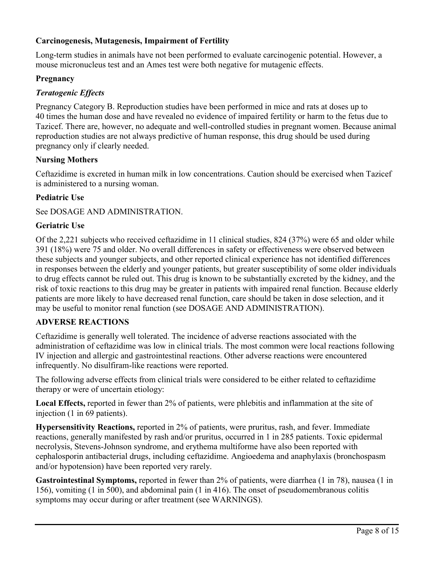# **Carcinogenesis, Mutagenesis, Impairment of Fertility**

Long-term studies in animals have not been performed to evaluate carcinogenic potential. However, a mouse micronucleus test and an Ames test were both negative for mutagenic effects.

### **Pregnancy**

### *Teratogenic Effects*

Pregnancy Category B. Reproduction studies have been performed in mice and rats at doses up to 40 times the human dose and have revealed no evidence of impaired fertility or harm to the fetus due to Tazicef. There are, however, no adequate and well-controlled studies in pregnant women. Because animal reproduction studies are not always predictive of human response, this drug should be used during pregnancy only if clearly needed.

### **Nursing Mothers**

Ceftazidime is excreted in human milk in low concentrations. Caution should be exercised when Tazicef is administered to a nursing woman.

### **Pediatric Use**

See DOSAGE AND ADMINISTRATION.

# **Geriatric Use**

Of the 2,221 subjects who received ceftazidime in 11 clinical studies, 824 (37%) were 65 and older while 391 (18%) were 75 and older. No overall differences in safety or effectiveness were observed between these subjects and younger subjects, and other reported clinical experience has not identified differences in responses between the elderly and younger patients, but greater susceptibility of some older individuals to drug effects cannot be ruled out. This drug is known to be substantially excreted by the kidney, and the risk of toxic reactions to this drug may be greater in patients with impaired renal function. Because elderly patients are more likely to have decreased renal function, care should be taken in dose selection, and it may be useful to monitor renal function (see DOSAGE AND ADMINISTRATION).

### **ADVERSE REACTIONS**

Ceftazidime is generally well tolerated. The incidence of adverse reactions associated with the administration of ceftazidime was low in clinical trials. The most common were local reactions following IV injection and allergic and gastrointestinal reactions. Other adverse reactions were encountered infrequently. No disulfiram-like reactions were reported.

The following adverse effects from clinical trials were considered to be either related to ceftazidime therapy or were of uncertain etiology:

**Local Effects,** reported in fewer than 2% of patients, were phlebitis and inflammation at the site of injection (1 in 69 patients).

**Hypersensitivity Reactions,** reported in 2% of patients, were pruritus, rash, and fever. Immediate reactions, generally manifested by rash and/or pruritus, occurred in 1 in 285 patients. Toxic epidermal necrolysis, Stevens-Johnson syndrome, and erythema multiforme have also been reported with cephalosporin antibacterial drugs, including ceftazidime. Angioedema and anaphylaxis (bronchospasm and/or hypotension) have been reported very rarely.

**Gastrointestinal Symptoms,** reported in fewer than 2% of patients, were diarrhea (1 in 78), nausea (1 in 156), vomiting (1 in 500), and abdominal pain (1 in 416). The onset of pseudomembranous colitis symptoms may occur during or after treatment (see WARNINGS).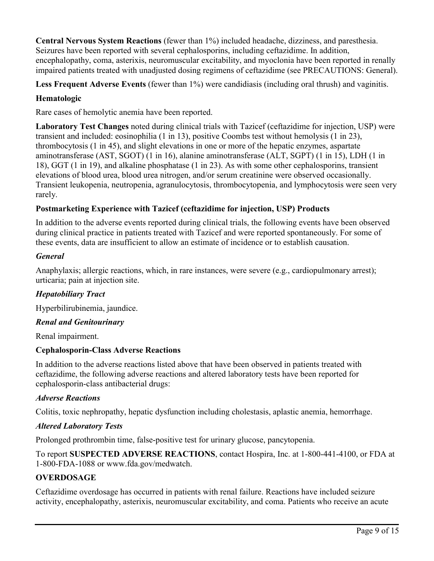**Central Nervous System Reactions** (fewer than 1%) included headache, dizziness, and paresthesia. Seizures have been reported with several cephalosporins, including ceftazidime. In addition, encephalopathy, coma, asterixis, neuromuscular excitability, and myoclonia have been reported in renally impaired patients treated with unadjusted dosing regimens of ceftazidime (see PRECAUTIONS: General).

**Less Frequent Adverse Events** (fewer than 1%) were candidiasis (including oral thrush) and vaginitis.

# **Hematologic**

Rare cases of hemolytic anemia have been reported.

**Laboratory Test Changes** noted during clinical trials with Tazicef (ceftazidime for injection, USP) were transient and included: eosinophilia (1 in 13), positive Coombs test without hemolysis (1 in 23), thrombocytosis (1 in 45), and slight elevations in one or more of the hepatic enzymes, aspartate aminotransferase (AST, SGOT) (1 in 16), alanine aminotransferase (ALT, SGPT) (1 in 15), LDH (1 in 18), GGT (1 in 19), and alkaline phosphatase (1 in 23). As with some other cephalosporins, transient elevations of blood urea, blood urea nitrogen, and/or serum creatinine were observed occasionally. Transient leukopenia, neutropenia, agranulocytosis, thrombocytopenia, and lymphocytosis were seen very rarely.

# **Postmarketing Experience with Tazicef (ceftazidime for injection, USP) Products**

In addition to the adverse events reported during clinical trials, the following events have been observed during clinical practice in patients treated with Tazicef and were reported spontaneously. For some of these events, data are insufficient to allow an estimate of incidence or to establish causation.

# *General*

Anaphylaxis; allergic reactions, which, in rare instances, were severe (e.g., cardiopulmonary arrest); urticaria; pain at injection site.

# *Hepatobiliary Tract*

Hyperbilirubinemia, jaundice.

# *Renal and Genitourinary*

Renal impairment.

### **Cephalosporin-Class Adverse Reactions**

In addition to the adverse reactions listed above that have been observed in patients treated with ceftazidime, the following adverse reactions and altered laboratory tests have been reported for cephalosporin-class antibacterial drugs:

### *Adverse Reactions*

Colitis, toxic nephropathy, hepatic dysfunction including cholestasis, aplastic anemia, hemorrhage.

# *Altered Laboratory Tests*

Prolonged prothrombin time, false-positive test for urinary glucose, pancytopenia.

To report **SUSPECTED ADVERSE REACTIONS**, contact Hospira, Inc. at 1-800-441-4100, or FDA at 1-800-FDA-1088 or www.fda.gov/medwatch.

# **OVERDOSAGE**

Ceftazidime overdosage has occurred in patients with renal failure. Reactions have included seizure activity, encephalopathy, asterixis, neuromuscular excitability, and coma. Patients who receive an acute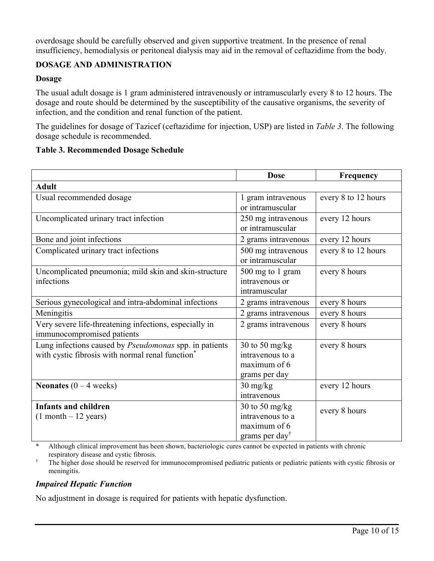overdosage should be carefully observed and given supportive treatment. In the presence of renal insufficiency, hemodialysis or peritoneal dialysis may aid in the removal of ceftazidime from the body.

# **DOSAGE AND ADMINISTRATION**

#### **Dosage**

The usual adult dosage is 1 gram administered intravenously or intramuscularly every 8 to 12 hours. The dosage and route should be determined by the susceptibility of the causative organisms, the severity of infection, and the condition and renal function of the patient.

The guidelines for dosage of Tazicef (ceftazidime for injection, USP) are listed in *Table 3*. The following dosage schedule is recommended.

### **Table 3. Recommended Dosage Schedule**

|                                                                                                                        | <b>Dose</b>                                                                      | Frequency           |
|------------------------------------------------------------------------------------------------------------------------|----------------------------------------------------------------------------------|---------------------|
| <b>Adult</b>                                                                                                           |                                                                                  |                     |
| Usual recommended dosage                                                                                               | 1 gram intravenous<br>or intramuscular                                           | every 8 to 12 hours |
| Uncomplicated urinary tract infection                                                                                  | 250 mg intravenous<br>or intramuscular                                           | every 12 hours      |
| Bone and joint infections                                                                                              | 2 grams intravenous                                                              | every 12 hours      |
| Complicated urinary tract infections                                                                                   | 500 mg intravenous<br>or intramuscular                                           | every 8 to 12 hours |
| Uncomplicated pneumonia; mild skin and skin-structure<br>infections                                                    | 500 mg to 1 gram<br>intravenous or<br>intramuscular                              | every 8 hours       |
| Serious gynecological and intra-abdominal infections                                                                   | 2 grams intravenous                                                              | every 8 hours       |
| Meningitis                                                                                                             | 2 grams intravenous                                                              | every 8 hours       |
| Very severe life-threatening infections, especially in<br>immunocompromised patients                                   | 2 grams intravenous                                                              | every 8 hours       |
| Lung infections caused by Pseudomonas spp. in patients<br>with cystic fibrosis with normal renal function <sup>*</sup> | 30 to 50 mg/kg<br>intravenous to a<br>maximum of 6<br>grams per day              | every 8 hours       |
| <b>Neonates</b> $(0 - 4$ weeks)                                                                                        | $30 \frac{\text{mg}}{\text{kg}}$<br>intravenous                                  | every 12 hours      |
| <b>Infants and children</b><br>$(1$ month $-12$ years)                                                                 | 30 to 50 mg/kg<br>intravenous to a<br>maximum of 6<br>grams per day <sup>†</sup> | every 8 hours       |

\* Although clinical improvement has been shown, bacteriologic cures cannot be expected in patients with chronic respiratory disease and cystic fibrosis.

† The higher dose should be reserved for immunocompromised pediatric patients or pediatric patients with cystic fibrosis or meningitis.

### *Impaired Hepatic Function*

No adjustment in dosage is required for patients with hepatic dysfunction.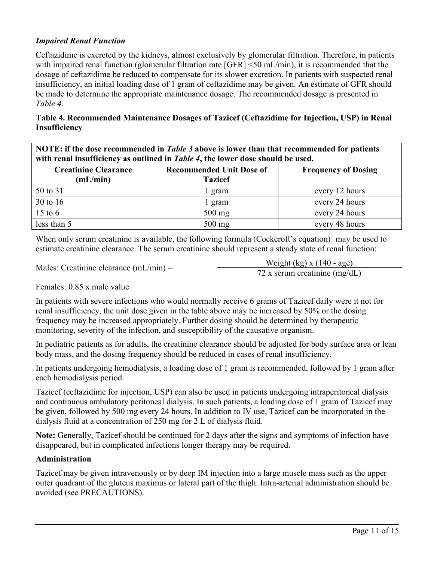### *Impaired Renal Function*

Ceftazidime is excreted by the kidneys, almost exclusively by glomerular filtration. Therefore, in patients with impaired renal function (glomerular filtration rate [GFR] <50 mL/min), it is recommended that the dosage of ceftazidime be reduced to compensate for its slower excretion. In patients with suspected renal insufficiency, an initial loading dose of 1 gram of ceftazidime may be given. An estimate of GFR should be made to determine the appropriate maintenance dosage. The recommended dosage is presented in *Table 4*.

### **Table 4. Recommended Maintenance Dosages of Tazicef (Ceftazidime for Injection, USP) in Renal Insufficiency**

**NOTE: if the dose recommended in** *Table 3* **above is lower than that recommended for patients with renal insufficiency as outlined in** *Table 4***, the lower dose should be used.**

| <b>Creatinine Clearance</b><br>(mL/min) | <b>Recommended Unit Dose of</b><br><b>Tazicef</b> | <b>Frequency of Dosing</b> |
|-----------------------------------------|---------------------------------------------------|----------------------------|
| 50 to 31                                | l gram                                            | every 12 hours             |
| 30 to 16                                | l gram                                            | every 24 hours             |
| 15 to $6$                               | $500$ mg                                          | every 24 hours             |
| less than 5                             | $500$ mg                                          | every 48 hours             |

When only serum creatinine is available, the following formula (Cockcroft's equation)<sup>1</sup> may be used to estimate creatinine clearance. The serum creatinine should represent a steady state of renal function:

Males: Creatinine clearance  $(mL/min) =$  Weight  $(kg) \times (140 - age)$ 

72 x serum creatinine (mg/dL)

Females: 0.85 x male value

In patients with severe infections who would normally receive 6 grams of Tazicef daily were it not for renal insufficiency, the unit dose given in the table above may be increased by 50% or the dosing frequency may be increased appropriately. Further dosing should be determined by therapeutic monitoring, severity of the infection, and susceptibility of the causative organism.

In pediatric patients as for adults, the creatinine clearance should be adjusted for body surface area or lean body mass, and the dosing frequency should be reduced in cases of renal insufficiency.

In patients undergoing hemodialysis, a loading dose of 1 gram is recommended, followed by 1 gram after each hemodialysis period.

Tazicef (ceftazidime for injection, USP) can also be used in patients undergoing intraperitoneal dialysis and continuous ambulatory peritoneal dialysis. In such patients, a loading dose of 1 gram of Tazicef may be given, followed by 500 mg every 24 hours. In addition to IV use, Tazicef can be incorporated in the dialysis fluid at a concentration of 250 mg for 2 L of dialysis fluid.

**Note:** Generally, Tazicef should be continued for 2 days after the signs and symptoms of infection have disappeared, but in complicated infections longer therapy may be required.

### **Administration**

Tazicef may be given intravenously or by deep IM injection into a large muscle mass such as the upper outer quadrant of the gluteus maximus or lateral part of the thigh. Intra-arterial administration should be avoided (see PRECAUTIONS).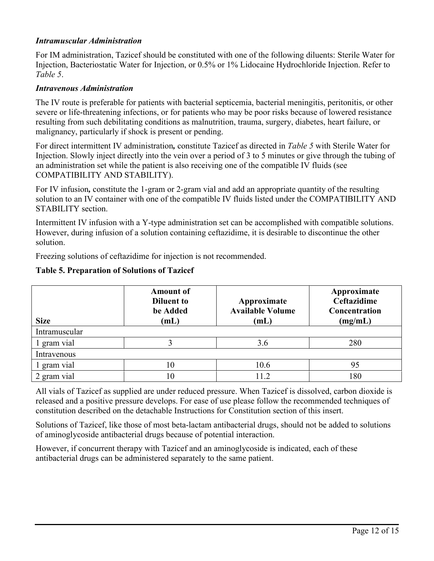### *Intramuscular Administration*

For IM administration, Tazicef should be constituted with one of the following diluents: Sterile Water for Injection, Bacteriostatic Water for Injection, or 0.5% or 1% Lidocaine Hydrochloride Injection. Refer to *Table 5*.

#### *Intravenous Administration*

The IV route is preferable for patients with bacterial septicemia, bacterial meningitis, peritonitis, or other severe or life-threatening infections, or for patients who may be poor risks because of lowered resistance resulting from such debilitating conditions as malnutrition, trauma, surgery, diabetes, heart failure, or malignancy, particularly if shock is present or pending.

For direct intermittent IV administration*,* constitute Tazicef as directed in *Table 5* with Sterile Water for Injection. Slowly inject directly into the vein over a period of 3 to 5 minutes or give through the tubing of an administration set while the patient is also receiving one of the compatible IV fluids (see COMPATIBILITY AND STABILITY).

For IV infusion*,* constitute the 1-gram or 2-gram vial and add an appropriate quantity of the resulting solution to an IV container with one of the compatible IV fluids listed under the COMPATIBILITY AND STABILITY section.

Intermittent IV infusion with a Y-type administration set can be accomplished with compatible solutions. However, during infusion of a solution containing ceftazidime, it is desirable to discontinue the other solution.

Freezing solutions of ceftazidime for injection is not recommended.

### **Table 5. Preparation of Solutions of Tazicef**

| <b>Size</b>   | <b>Amount of</b><br><b>Diluent to</b><br>be Added<br>(mL) | Approximate<br><b>Available Volume</b><br>(mL) | Approximate<br><b>Ceftazidime</b><br>Concentration<br>(mg/mL) |
|---------------|-----------------------------------------------------------|------------------------------------------------|---------------------------------------------------------------|
| Intramuscular |                                                           |                                                |                                                               |
| 1 gram vial   |                                                           | 3.6                                            | 280                                                           |
| Intravenous   |                                                           |                                                |                                                               |
| 1 gram vial   | 10                                                        | 10.6                                           | 95                                                            |
| 2 gram vial   | 10                                                        | 11.2                                           | 180                                                           |

All vials of Tazicef as supplied are under reduced pressure. When Tazicef is dissolved, carbon dioxide is released and a positive pressure develops. For ease of use please follow the recommended techniques of constitution described on the detachable Instructions for Constitution section of this insert.

Solutions of Tazicef, like those of most beta-lactam antibacterial drugs, should not be added to solutions of aminoglycoside antibacterial drugs because of potential interaction.

However, if concurrent therapy with Tazicef and an aminoglycoside is indicated, each of these antibacterial drugs can be administered separately to the same patient.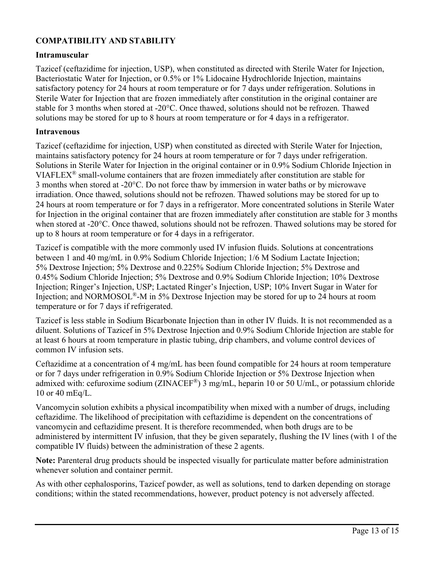# **COMPATIBILITY AND STABILITY**

### **Intramuscular**

Tazicef (ceftazidime for injection, USP), when constituted as directed with Sterile Water for Injection, Bacteriostatic Water for Injection, or 0.5% or 1% Lidocaine Hydrochloride Injection, maintains satisfactory potency for 24 hours at room temperature or for 7 days under refrigeration. Solutions in Sterile Water for Injection that are frozen immediately after constitution in the original container are stable for 3 months when stored at -20°C. Once thawed, solutions should not be refrozen. Thawed solutions may be stored for up to 8 hours at room temperature or for 4 days in a refrigerator.

### **Intravenous**

Tazicef (ceftazidime for injection, USP) when constituted as directed with Sterile Water for Injection, maintains satisfactory potency for 24 hours at room temperature or for 7 days under refrigeration. Solutions in Sterile Water for Injection in the original container or in 0.9% Sodium Chloride Injection in VIAFLEX® small-volume containers that are frozen immediately after constitution are stable for 3 months when stored at -20°C. Do not force thaw by immersion in water baths or by microwave irradiation. Once thawed, solutions should not be refrozen. Thawed solutions may be stored for up to 24 hours at room temperature or for 7 days in a refrigerator. More concentrated solutions in Sterile Water for Injection in the original container that are frozen immediately after constitution are stable for 3 months when stored at -20°C. Once thawed, solutions should not be refrozen. Thawed solutions may be stored for up to 8 hours at room temperature or for 4 days in a refrigerator.

Tazicef is compatible with the more commonly used IV infusion fluids. Solutions at concentrations between 1 and 40 mg/mL in 0.9% Sodium Chloride Injection; 1/6 M Sodium Lactate Injection; 5% Dextrose Injection; 5% Dextrose and 0.225% Sodium Chloride Injection; 5% Dextrose and 0.45% Sodium Chloride Injection; 5% Dextrose and 0.9% Sodium Chloride Injection; 10% Dextrose Injection; Ringer's Injection, USP; Lactated Ringer's Injection, USP; 10% Invert Sugar in Water for Injection; and NORMOSOL®-M in 5% Dextrose Injection may be stored for up to 24 hours at room temperature or for 7 days if refrigerated.

Tazicef is less stable in Sodium Bicarbonate Injection than in other IV fluids. It is not recommended as a diluent. Solutions of Tazicef in 5% Dextrose Injection and 0.9% Sodium Chloride Injection are stable for at least 6 hours at room temperature in plastic tubing, drip chambers, and volume control devices of common IV infusion sets.

Ceftazidime at a concentration of 4 mg/mL has been found compatible for 24 hours at room temperature or for 7 days under refrigeration in 0.9% Sodium Chloride Injection or 5% Dextrose Injection when admixed with: cefuroxime sodium (ZINACEF®) 3 mg/mL, heparin 10 or 50 U/mL, or potassium chloride 10 or 40 mEq/L.

Vancomycin solution exhibits a physical incompatibility when mixed with a number of drugs, including ceftazidime. The likelihood of precipitation with ceftazidime is dependent on the concentrations of vancomycin and ceftazidime present. It is therefore recommended, when both drugs are to be administered by intermittent IV infusion, that they be given separately, flushing the IV lines (with 1 of the compatible IV fluids) between the administration of these 2 agents.

**Note:** Parenteral drug products should be inspected visually for particulate matter before administration whenever solution and container permit.

As with other cephalosporins, Tazicef powder, as well as solutions, tend to darken depending on storage conditions; within the stated recommendations, however, product potency is not adversely affected.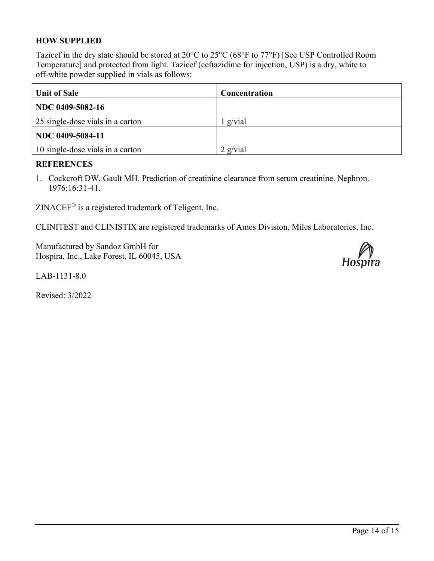### **HOW SUPPLIED**

Tazicef in the dry state should be stored at 20°C to 25°C (68°F to 77°F) [See USP Controlled Room Temperature] and protected from light. Tazicef (ceftazidime for injection, USP) is a dry, white to off-white powder supplied in vials as follows:

| <b>Unit of Sale</b>              | Concentration |
|----------------------------------|---------------|
| NDC 0409-5082-16                 |               |
| 25 single-dose vials in a carton | g/vial        |
| NDC 0409-5084-11                 |               |
| 10 single-dose vials in a carton | $2$ g/vial    |

#### **REFERENCES**

1. Cockcroft DW, Gault MH. Prediction of creatinine clearance from serum creatinine. Nephron. 1976;16:31-41.

ZINACEF® is a registered trademark of Teligent, Inc.

CLINITEST and CLINISTIX are registered trademarks of Ames Division, Miles Laboratories, Inc.

Manufactured by Sandoz GmbH for Hospira, Inc., Lake Forest, IL 60045, USA

LAB-1131-8.0

Revised: 3/2022